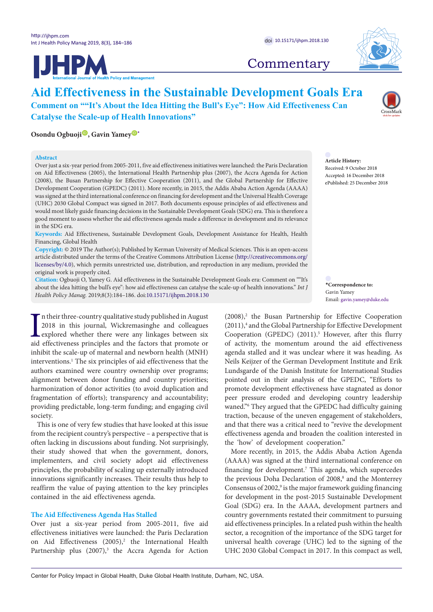





# **Commentary**

## **Aid Effectiveness in the Sustainable Development Goals Era Comment on ""It's About the Idea Hitting the Bull's Eye": How Aid Effectiveness Can Catalyse the Scale-up of Health Innovations"**

## **Osondu Ogbuoji<sup>10</sup>, Gavin Yamey<sup><sup>0</sup>**[\\*](#page-0-0)</sup>

### **Abstract**

Over just a six-year period from 2005-2011, five aid effectiveness initiatives were launched: the Paris Declaration on Aid Effectiveness (2005), the International Health Partnership plus (2007), the Accra Agenda for Action (2008), the Busan Partnership for Effective Cooperation (2011), and the Global Partnership for Effective Development Cooperation (GPEDC) (2011). More recently, in 2015, the Addis Ababa Action Agenda (AAAA) was signed at the third international conference on financing for development and the Universal Health Coverage (UHC) 2030 Global Compact was signed in 2017. Both documents espouse principles of aid effectiveness and would most likely guide financing decisions in the Sustainable Development Goals (SDG) era. This is therefore a good moment to assess whether the aid effectiveness agenda made a difference in development and its relevance in the SDG era.

**Keywords:** Aid Effectiveness, Sustainable Development Goals, Development Assistance for Health, Health Financing, Global Health

**Copyright:** © 2019 The Author(s); Published by Kerman University of Medical Sciences. This is an open-access article distributed under the terms of the Creative Commons Attribution License ([http://creativecommons.org/](http://creativecommons.org/licenses/by/4.0) [licenses/by/4.0](http://creativecommons.org/licenses/by/4.0)), which permits unrestricted use, distribution, and reproduction in any medium, provided the original work is properly cited.

**Citation:** Ogbuoji O, Yamey G. Aid effectiveness in the Sustainable Development Goals era: Comment on ""It's about the idea hitting the bull's eye": how aid effectiveness can catalyse the scale-up of health innovations." *Int J Health Policy Manag.* 2019;8(3):184–186. doi[:10.15171/ijhpm.2018.130](https://doi.org/10.15171/ijhpm.2018.130)

In their three-country qualitative study published in August 2018 in this journal, Wickremasinghe and colleagues explored whether there were any linkages between six aid effectiveness principles and the factors that promot n their three-country qualitative study published in August 2018 in this journal, Wickremasinghe and colleagues explored whether there were any linkages between six inhibit the scale-up of maternal and newborn health (MNH) interventions.1 The six principles of aid effectiveness that the authors examined were country ownership over programs; alignment between donor funding and country priorities; harmonization of donor activities (to avoid duplication and fragmentation of efforts); transparency and accountability; providing predictable, long-term funding; and engaging civil society.

This is one of very few studies that have looked at this issue from the recipient country's perspective – a perspective that is often lacking in discussions about funding. Not surprisingly, their study showed that when the government, donors, implementers, and civil society adopt aid effectiveness principles, the probability of scaling up externally introduced innovations significantly increases. Their results thus help to reaffirm the value of paying attention to the key principles contained in the aid effectiveness agenda.

## **The Aid Effectiveness Agenda Has Stalled**

Over just a six-year period from 2005-2011, five aid effectiveness initiatives were launched: the Paris Declaration on Aid Effectiveness (2005),<sup>2</sup> the International Health Partnership plus (2007),<sup>3</sup> the Accra Agenda for Action

**Article History:** Received: 9 October 2018 Accepted: 16 December 2018 ePublished: 25 December 2018

<span id="page-0-0"></span>**\*Correspondence to:** Gavin Yamey Email: gavin.yamey@duke.edu

(2008),<sup>2</sup> the Busan Partnership for Effective Cooperation (2011),<sup>4</sup> and the Global Partnership for Effective Development Cooperation (GPEDC) (2011).<sup>5</sup> However, after this flurry of activity, the momentum around the aid effectiveness agenda stalled and it was unclear where it was heading. As Neils Keijzer of the German Development Institute and Erik Lundsgarde of the Danish Institute for International Studies pointed out in their analysis of the GPEDC, "Efforts to promote development effectiveness have stagnated as donor peer pressure eroded and developing country leadership waned."6 They argued that the GPEDC had difficulty gaining traction, because of the uneven engagement of stakeholders, and that there was a critical need to "revive the development effectiveness agenda and broaden the coalition interested in the 'how' of development cooperation."

More recently, in 2015, the Addis Ababa Action Agenda (AAAA) was signed at the third international conference on financing for development.<sup>7</sup> This agenda, which supercedes the previous Doha Declaration of 2008,<sup>8</sup> and the Monterrey Consensus of 2002,<sup>9</sup> is the major framework guiding financing for development in the post-2015 Sustainable Development Goal (SDG) era. In the AAAA, development partners and country governments restated their commitment to pursuing aid effectiveness principles. In a related push within the health sector, a recognition of the importance of the SDG target for universal health coverage (UHC) led to the signing of the UHC 2030 Global Compact in 2017. In this compact as well,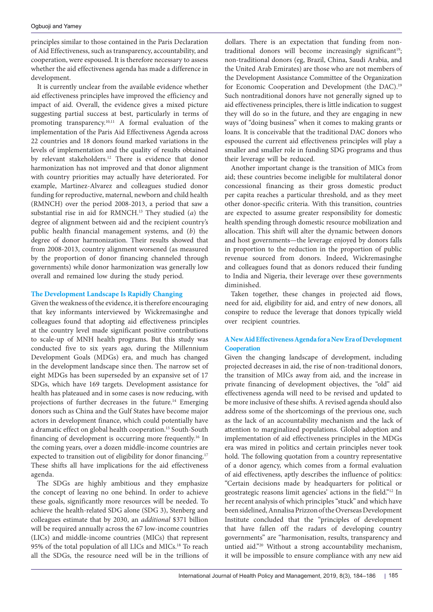principles similar to those contained in the Paris Declaration of Aid Effectiveness, such as transparency, accountability, and cooperation, were espoused. It is therefore necessary to assess whether the aid effectiveness agenda has made a difference in development.

It is currently unclear from the available evidence whether aid effectiveness principles have improved the efficiency and impact of aid. Overall, the evidence gives a mixed picture suggesting partial success at best, particularly in terms of promoting transparency.10,11 A formal evaluation of the implementation of the Paris Aid Effectiveness Agenda across 22 countries and 18 donors found marked variations in the levels of implementation and the quality of results obtained by relevant stakeholders.<sup>12</sup> There is evidence that donor harmonization has not improved and that donor alignment with country priorities may actually have deteriorated. For example, Martinez-Alvarez and colleagues studied donor funding for reproductive, maternal, newborn and child health (RMNCH) over the period 2008-2013, a period that saw a substantial rise in aid for RMNCH.13 They studied (*a*) the degree of alignment between aid and the recipient country's public health financial management systems, and (*b*) the degree of donor harmonization. Their results showed that from 2008-2013, country alignment worsened (as measured by the proportion of donor financing channeled through governments) while donor harmonization was generally low overall and remained low during the study period.

## **The Development Landscape Is Rapidly Changing**

Given the weakness of the evidence, it is therefore encouraging that key informants interviewed by Wickremasinghe and colleagues found that adopting aid effectiveness principles at the country level made significant positive contributions to scale-up of MNH health programs. But this study was conducted five to six years ago, during the Millennium Development Goals (MDGs) era, and much has changed in the development landscape since then. The narrow set of eight MDGs has been superseded by an expansive set of 17 SDGs, which have 169 targets. Development assistance for health has plateaued and in some cases is now reducing, with projections of further decreases in the future.14 Emerging donors such as China and the Gulf States have become major actors in development finance, which could potentially have a dramatic effect on global health cooperation.15 South-South financing of development is occurring more frequently.16 In the coming years, over a dozen middle-income countries are expected to transition out of eligibility for donor financing.<sup>17</sup> These shifts all have implications for the aid effectiveness agenda.

The SDGs are highly ambitious and they emphasize the concept of leaving no one behind. In order to achieve these goals, significantly more resources will be needed. To achieve the health-related SDG alone (SDG 3), Stenberg and colleagues estimate that by 2030, an *additional* \$371 billion will be required annually across the 67 low-income countries (LICs) and middle-income countries (MICs) that represent 95% of the total population of all LICs and MICs.<sup>18</sup> To reach all the SDGs, the resource need will be in the trillions of

dollars. There is an expectation that funding from nontraditional donors will become increasingly significant<sup>19</sup>; non-traditional donors (eg, Brazil, China, Saudi Arabia, and the United Arab Emirates) are those who are not members of the Development Assistance Committee of the Organization for Economic Cooperation and Development (the DAC).<sup>19</sup> Such nontraditional donors have not generally signed up to aid effectiveness principles, there is little indication to suggest they will do so in the future, and they are engaging in new ways of "doing business" when it comes to making grants or loans. It is conceivable that the traditional DAC donors who espoused the current aid effectiveness principles will play a smaller and smaller role in funding SDG programs and thus their leverage will be reduced.

Another important change is the transition of MICs from aid; these countries become ineligible for multilateral donor concessional financing as their gross domestic product per capita reaches a particular threshold, and as they meet other donor-specific criteria. With this transition, countries are expected to assume greater responsibility for domestic health spending through domestic resource mobilization and allocation. This shift will alter the dynamic between donors and host governments—the leverage enjoyed by donors falls in proportion to the reduction in the proportion of public revenue sourced from donors. Indeed, Wickremasinghe and colleagues found that as donors reduced their funding to India and Nigeria, their leverage over these governments diminished.

Taken together, these changes in projected aid flows, need for aid, eligibility for aid, and entry of new donors, all conspire to reduce the leverage that donors typically wield over recipient countries.

## **A New Aid Effectiveness Agenda for a New Era of Development Cooperation**

Given the changing landscape of development, including projected decreases in aid, the rise of non-traditional donors, the transition of MICs away from aid, and the increase in private financing of development objectives, the "old" aid effectiveness agenda will need to be revised and updated to be more inclusive of these shifts. A revised agenda should also address some of the shortcomings of the previous one, such as the lack of an accountability mechanism and the lack of attention to marginalized populations. Global adoption and implementation of aid effectiveness principles in the MDGs era was mired in politics and certain principles never took hold. The following quotation from a country representative of a donor agency, which comes from a formal evaluation of aid effectiveness, aptly describes the influence of politics: "Certain decisions made by headquarters for political or geostrategic reasons limit agencies' actions in the field."12 In her recent analysis of which principles "stuck" and which have been sidelined, Annalisa Prizzon of the Overseas Development Institute concluded that the "principles of development that have fallen off the radars of developing country governments" are "harmonisation, results, transparency and untied aid."20 Without a strong accountability mechanism, it will be impossible to ensure compliance with any new aid